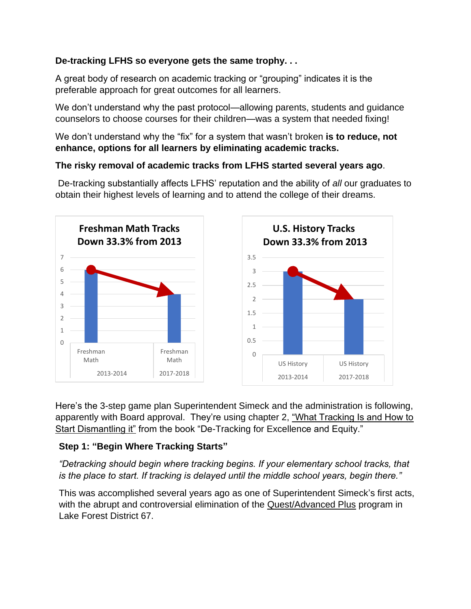# **De-tracking LFHS so everyone gets the same trophy. . .**

A great body of research on academic tracking or "grouping" indicates it is the preferable approach for great outcomes for all learners.

We don't understand why the past protocol—allowing parents, students and guidance counselors to choose courses for their children—was a system that needed fixing!

We don't understand why the "fix" for a system that wasn't broken **is to reduce, not enhance, options for all learners by eliminating academic tracks.**

# **The risky removal of academic tracks from LFHS started several years ago**.

De-tracking substantially affects LFHS' reputation and the ability of *all* our graduates to obtain their highest levels of learning and to attend the college of their dreams.



Here's the 3-step game plan Superintendent Simeck and the administration is following, apparently with Board approval. They're using chapter 2, ["What Tracking Is and How to](http://www.ascd.org/publications/books/108013/chapters/What-Tracking-Is-and-How-to-Start-Dismantling-It.aspx)  [Start Dismantling it"](http://www.ascd.org/publications/books/108013/chapters/What-Tracking-Is-and-How-to-Start-Dismantling-It.aspx) from the book "De-Tracking for Excellence and Equity."

# **Step 1: "Begin Where Tracking Starts"**

*"Detracking should begin where tracking begins. If your elementary school tracks, that is the place to start. If tracking is delayed until the middle school years, begin there."*

This was accomplished several years ago as one of Superintendent Simeck's first acts, with the abrupt and controversial elimination of the **Quest/Advanced Plus** program in Lake Forest District 67.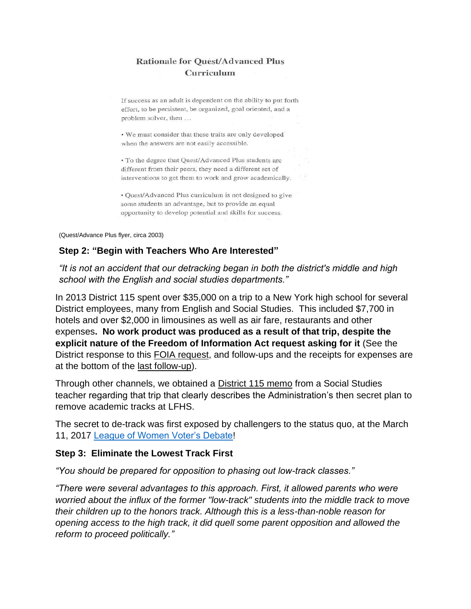# **Rationale for Quest/Advanced Plus** Curriculum

If success as an adult is dependent on the ability to put forth effort, to be persistent, be organized, goal oriented, and a problem solver, then ...

. We must consider that these traits are only developed when the answers are not easily accessible.

• To the degree that Quest/Advanced Plus students are different from their peers, they need a different set of interventions to get them to work and grow academically.

• Quest/Advanced Plus curriculum is not designed to give some students an advantage, but to provide an equal opportunity to develop potential and skills for success.

(Quest/Advance Plus flyer, circa 2003)

### **Step 2: "Begin with Teachers Who Are Interested"**

*"It is not an accident that our detracking began in both the district's middle and high school with the English and social studies departments."*

In 2013 District 115 spent over \$35,000 on a trip to a New York high school for several District employees, many from English and Social Studies. This included \$7,700 in hotels and over \$2,000 in limousines as well as air fare, restaurants and other expenses**. No work product was produced as a result of that trip, despite the explicit nature of the Freedom of Information Act request asking for it** (See the District response to this [FOIA request,](http://www.lakeforestschoolswatch.com/freedom-of-information-act-requests-results.html) and follow-ups and the receipts for expenses are at the bottom of the [last follow-up\)](http://nebula.wsimg.com/6ae339ea0bc89d961632c3e103b52f84?AccessKeyId=927438E6C12778EEE2ED&disposition=0&alloworigin=1).

Through other channels, we obtained a **District 115 memo from a Social Studies** teacher regarding that trip that clearly describes the Administration's then secret plan to remove academic tracks at LFHS.

The secret to de-track was first exposed by challengers to the status quo, at the March 11, 2017 [League of Women Voter's Debate!](http://lwv-lflb.org/candidate-debates-lake-forest-0)

### **Step 3: Eliminate the Lowest Track First**

*"You should be prepared for opposition to phasing out low-track classes."*

*"There were several advantages to this approach. First, it allowed parents who were worried about the influx of the former "low-track" students into the middle track to move their children up to the honors track. Although this is a less-than-noble reason for opening access to the high track, it did quell some parent opposition and allowed the reform to proceed politically."*